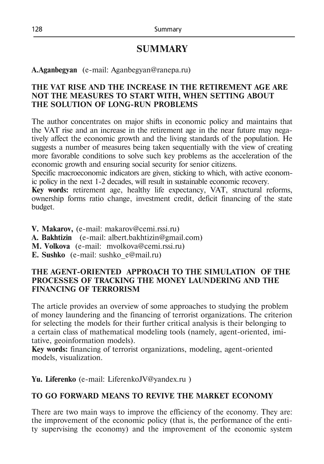# **SUMMARY**

**А.Aganbegyan** (e-mail: Aganbegyan@ranepa.ru)

#### **THE VAT RISE AND THE INCREASE IN THE RETIREMENT AGE ARE NOT THE MEASURES TO START WITH, WHEN SETTING ABOUT THE SOLUTION OF LONG-RUN PROBLEMS**

The author concentrates on major shifts in economic policy and maintains that the VAT rise and an increase in the retirement age in the near future may negatively affect the economic growth and the living standards of the population. He suggests a number of measures being taken sequentially with the view of creating more favorable conditions to solve such key problems as the acceleration of the economic growth and ensuring social security for senior citizens.

Specific macroeconomic indicators are given, sticking to which, with active economic policy in the next 1-2 decades, will result in sustainable economic recovery.

**Key words:** retirement age, healthy life expectancy, VAT, structural reforms, ownership forms ratio change, investment credit, deficit financing of the state budget.

**V. Makarov,** (e-mail: [makarov@cemi.rssi.ru\)](mailto:makarov@cemi.rssi.ru) **A. Bakhtizin** (e-mail: [albert.bakhtizin@gmail.com\)](mailto:albert.bakhtizin@gmail.com) **M. Volkova** (e-mail: [mvolkova@cemi.rssi.ru\)](mailto:mvolkova@cemi.rssi.ru) **E. Sushko** (e-mail: [sushko\\_e@mail.ru\)](mailto:sushko_e@mail.ru)

#### **THE AGENT-ORIENTED APPROACH TO THE SIMULATION OF THE PROCESSES OF TRACKING THE MONEY LAUNDERING AND THE FINANCING OF TERRORISM**

The article provides an overview of some approaches to studying the problem of money laundering and the financing of terrorist organizations. The criterion for selecting the models for their further critical analysis is their belonging to a certain class of mathematical modeling tools (namely, agent-oriented, imitative, geoinformation models).

**Key words:** financing of terrorist organizations, modeling, agent-oriented models, visualization.

**Yu. Liferenko** (e-mail: [LiferenkoJV@yandex.ru](mailto:LiferenkoJV@yandex.ru) )

# **TO GO FORWARD MEANS TO REVIVE THE MARKET ECONOMY**

There are two main ways to improve the efficiency of the economy. They are: the improvement of the economic policy (that is, the performance of the entity supervising the economy) and the improvement of the economic system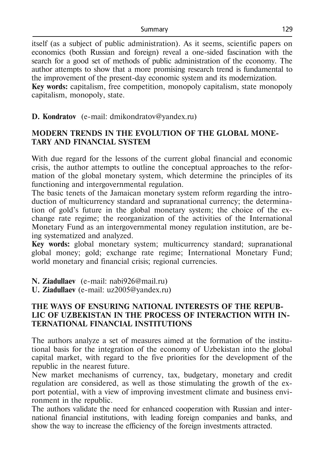itself (as a subject of public administration). As it seems, scientific papers on economics (both Russian and foreign) reveal a one-sided fascination with the search for a good set of methods of public administration of the economy. The author attempts to show that a more promising research trend is fundamental to the improvement of the present-day economic system and its modernization. **Key words:** capitalism, free competition, monopoly capitalism, state monopoly capitalism, monopoly, state.

**D. Kondratov** (e-mail: [dmikondratov@yandex.ru\)](mailto:dmikondratov@yandex.ru)

# **MODERN TRENDS IN THE EVOLUTION OF THE GLOBAL MONE-TARY AND FINANCIAL SYSTEM**

With due regard for the lessons of the current global financial and economic crisis, the author attempts to outline the conceptual approaches to the reformation of the global monetary system, which determine the principles of its functioning and intergovernmental regulation.

The basic tenets of the Jamaican monetary system reform regarding the introduction of multicurrency standard and supranational currency; the determination of gold's future in the global monetary system; the choice of the exchange rate regime; the reorganization of the activities of the International Monetary Fund as an intergovernmental money regulation institution, are being systematized and analyzed.

**Key words:** global monetary system; multicurrency standard; supranational global money; gold; exchange rate regime; International Monetary Fund; world monetary and financial crisis; regional currencies.

**N. Ziadullaev** (е-mail: [nabi926@mail.ru\)](mailto:%20nabi926@mail.ru)

**U. Ziadullaev** (e-mail: [uz2005@yandex.ru\)](mailto:uz2005@yandex.ru)

## **THE WAYS OF ENSURING NATIONAL INTERESTS OF THE REPUB-LIC OF UZBEKISTAN IN THE PROCESS OF INTERACTION WITH IN-TERNATIONAL FINANCIAL INSTITUTIONS**

The authors analyze a set of measures aimed at the formation of the institutional basis for the integration of the economy of Uzbekistan into the global capital market, with regard to the five priorities for the development of the republic in the nearest future.

New market mechanisms of currency, tax, budgetary, monetary and credit regulation are considered, as well as those stimulating the growth of the export potential, with a view of improving investment climate and business environment in the republic.

The authors validate the need for enhanced cooperation with Russian and international financial institutions, with leading foreign companies and banks, and show the way to increase the efficiency of the foreign investments attracted.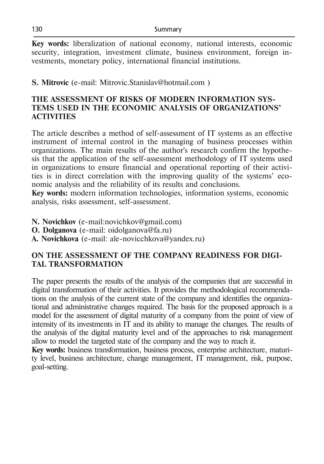**Key words:** liberalization of national economy, national interests, economic security, integration, investment climate, business environment, foreign investments, monetary policy, international financial institutions.

**S. Mitrovic** (е-mail: Mitrovic.Stanislav@hotmail.com )

## **THE ASSESSMENT OF RISKS OF MODERN INFORMATION SYS-TEMS USED IN THE ECONOMIC ANALYSIS OF ORGANIZATIONS' ACTIVITIES**

The article describes a method of self-assessment of IT systems as an effective instrument of internal control in the managing of business processes within organizations. The main results of the author's research confirm the hypothesis that the application of the self-assessment methodology of IT systems used in organizations to ensure financial and operational reporting of their activities is in direct correlation with the improving quality of the systems' economic analysis and the reliability of its results and conclusions.

**Key words:** modern information technologies, information systems, economic analysis, risks assessment, self-assessment.

- **N. Novichkov** (e-mail:novichkov@gmail.com)
- **O. Dolganova** (e-mail: oidolganova@fa.ru)
- **A. Novichkova** (e-mail: [ale-novicchkova@yandex.ru\)](mailto:ale-novicchkova@yandex.ru)

# **ON THE ASSESSMENT OF THE COMPANY READINESS FOR DIGI-TAL TRANSFORMATION**

The paper presents the results of the analysis of the companies that are successful in digital transformation of their activities. It provides the methodological recommendations on the analysis of the current state of the company and identifies the organizational and administrative changes required. The basis for the proposed approach is a model for the assessment of digital maturity of a company from the point of view of intensity of its investments in IT and its ability to manage the changes. The results of the analysis of the digital maturity level and of the approaches to risk management allow to model the targeted state of the company and the way to reach it.

**Key words:** business transformation, business process, enterprise architecture, maturity level, business architecture, change management, IT management, risk, purpose, goal-setting.